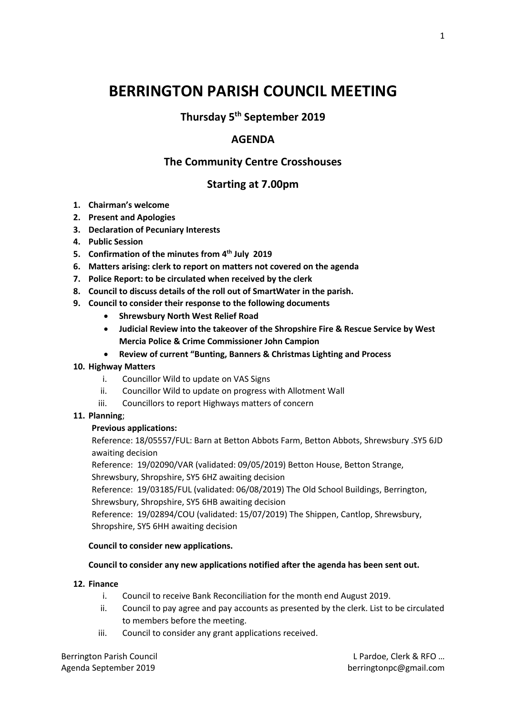# **BERRINGTON PARISH COUNCIL MEETING**

# **Thursday 5th September 2019**

## **AGENDA**

## **The Community Centre Crosshouses**

## **Starting at 7.00pm**

- **1. Chairman's welcome**
- **2. Present and Apologies**
- **3. Declaration of Pecuniary Interests**
- **4. Public Session**
- **5. Confirmation of the minutes from 4 th July 2019**
- **6. Matters arising: clerk to report on matters not covered on the agenda**
- **7. Police Report: to be circulated when received by the clerk**
- **8. Council to discuss details of the roll out of SmartWater in the parish.**
- **9. Council to consider their response to the following documents**
	- **Shrewsbury North West Relief Road**
	- **Judicial Review into the takeover of the Shropshire Fire & Rescue Service by West Mercia Police & Crime Commissioner John Campion**
	- **Review of current "Bunting, Banners & Christmas Lighting and Process**

#### **10. Highway Matters**

- i. Councillor Wild to update on VAS Signs
- ii. Councillor Wild to update on progress with Allotment Wall
- iii. Councillors to report Highways matters of concern

#### **11. Planning**;

#### **Previous applications:**

Reference: 18/05557/FUL: Barn at Betton Abbots Farm, Betton Abbots, Shrewsbury .SY5 6JD awaiting decision

Reference: 19/02090/VAR (validated: 09/05/2019) Betton House, Betton Strange,

Shrewsbury, Shropshire, SY5 6HZ awaiting decision

Reference: 19/03185/FUL (validated: 06/08/2019) The Old School Buildings, Berrington, Shrewsbury, Shropshire, SY5 6HB awaiting decision

Reference: 19/02894/COU (validated: 15/07/2019) The Shippen, Cantlop, Shrewsbury, Shropshire, SY5 6HH awaiting decision

#### **Council to consider new applications.**

#### **Council to consider any new applications notified after the agenda has been sent out.**

#### **12. Finance**

- i. Council to receive Bank Reconciliation for the month end August 2019.
- ii. Council to pay agree and pay accounts as presented by the clerk. List to be circulated to members before the meeting.
- iii. Council to consider any grant applications received.

Berrington Parish Council L Pardoe, Clerk & RFO … Agenda September 2019 berringtonpc@gmail.com